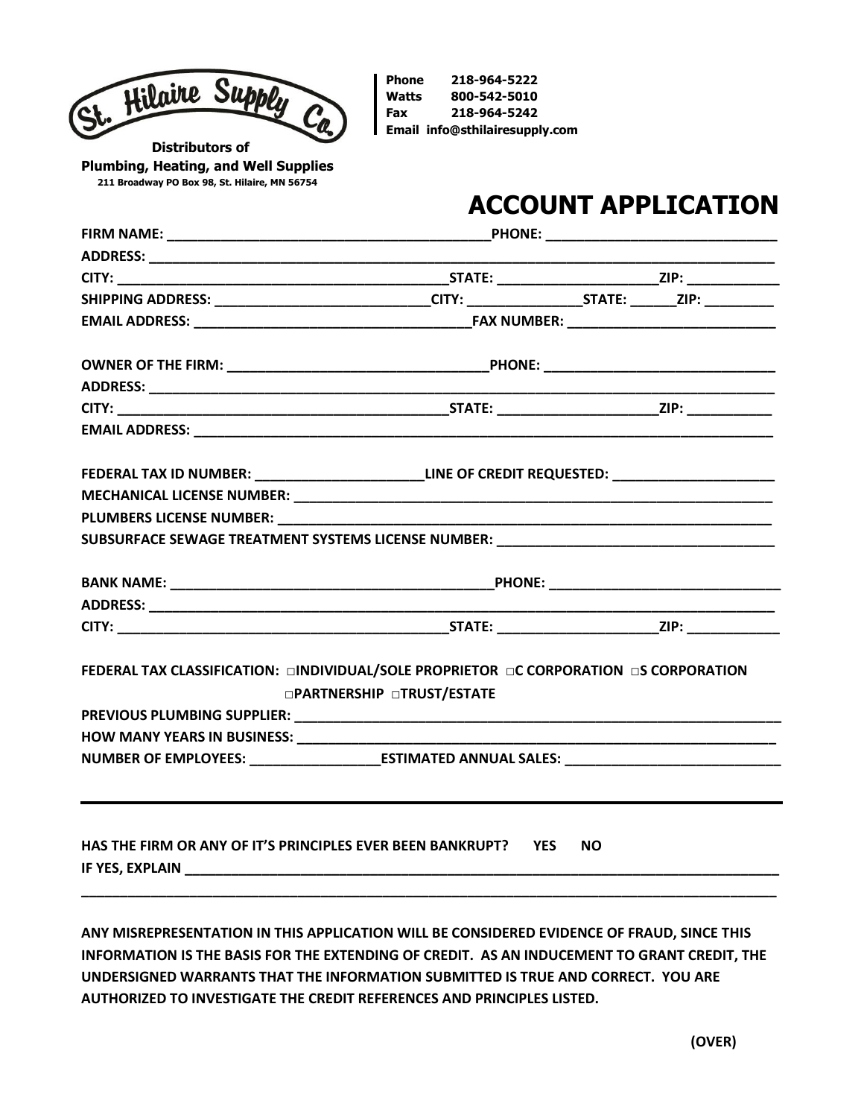

**Phone 218-964-5222 Watts 800-542-5010 Fax 218-964-5242 Email [info@sthilairesupply.com](mailto:info@sthilairesupply.com)**

 **Distributors of Plumbing, Heating, and Well Supplies 211 Broadway PO Box 98, St. Hilaire, MN 56754**

## **ACCOUNT APPLICATION**

| SHIPPING ADDRESS: _____________________________CITY: __________________STATE: _______ZIP: __________ |                                                                                                |           |  |  |
|------------------------------------------------------------------------------------------------------|------------------------------------------------------------------------------------------------|-----------|--|--|
|                                                                                                      |                                                                                                |           |  |  |
|                                                                                                      |                                                                                                |           |  |  |
|                                                                                                      |                                                                                                |           |  |  |
|                                                                                                      |                                                                                                |           |  |  |
|                                                                                                      |                                                                                                |           |  |  |
|                                                                                                      | FEDERAL TAX ID NUMBER: ________________________LINE OF CREDIT REQUESTED: _____________________ |           |  |  |
|                                                                                                      |                                                                                                |           |  |  |
|                                                                                                      |                                                                                                |           |  |  |
| SUBSURFACE SEWAGE TREATMENT SYSTEMS LICENSE NUMBER: ____________________________                     |                                                                                                |           |  |  |
|                                                                                                      |                                                                                                |           |  |  |
|                                                                                                      |                                                                                                |           |  |  |
|                                                                                                      |                                                                                                |           |  |  |
| FEDERAL TAX CLASSIFICATION: □INDIVIDUAL/SOLE PROPRIETOR □C CORPORATION □S CORPORATION                | □PARTNERSHIP □TRUST/ESTATE                                                                     |           |  |  |
|                                                                                                      |                                                                                                |           |  |  |
|                                                                                                      |                                                                                                |           |  |  |
| NUMBER OF EMPLOYEES: __________________________ESTIMATED ANNUAL SALES: _____________________________ |                                                                                                |           |  |  |
|                                                                                                      |                                                                                                |           |  |  |
| HAS THE FIRM OR ANY OF IT'S PRINCIPLES EVER BEEN BANKRUPT? YES                                       |                                                                                                | <b>NO</b> |  |  |

**ANY MISREPRESENTATION IN THIS APPLICATION WILL BE CONSIDERED EVIDENCE OF FRAUD, SINCE THIS INFORMATION IS THE BASIS FOR THE EXTENDING OF CREDIT. AS AN INDUCEMENT TO GRANT CREDIT, THE UNDERSIGNED WARRANTS THAT THE INFORMATION SUBMITTED IS TRUE AND CORRECT. YOU ARE AUTHORIZED TO INVESTIGATE THE CREDIT REFERENCES AND PRINCIPLES LISTED.**